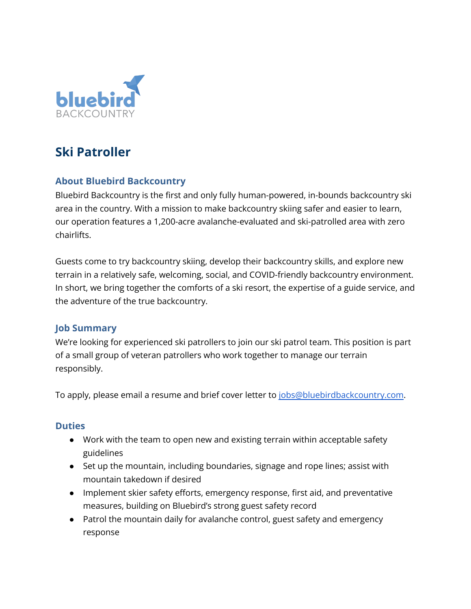

# **Ski Patroller**

## **About Bluebird Backcountry**

Bluebird Backcountry is the first and only fully human-powered, in-bounds backcountry ski area in the country. With a mission to make backcountry skiing safer and easier to learn, our operation features a 1,200-acre avalanche-evaluated and ski-patrolled area with zero chairlifts.

Guests come to try backcountry skiing, develop their backcountry skills, and explore new terrain in a relatively safe, welcoming, social, and COVID-friendly backcountry environment. In short, we bring together the comforts of a ski resort, the expertise of a guide service, and the adventure of the true backcountry.

## **Job Summary**

We're looking for experienced ski patrollers to join our ski patrol team. This position is part of a small group of veteran patrollers who work together to manage our terrain responsibly.

To apply, please email a resume and brief cover letter to [jobs@bluebirdbackcountry.com.](mailto:jobs@bluebirdbackcountry.com)

#### **Duties**

- Work with the team to open new and existing terrain within acceptable safety guidelines
- Set up the mountain, including boundaries, signage and rope lines; assist with mountain takedown if desired
- Implement skier safety efforts, emergency response, first aid, and preventative measures, building on Bluebird's strong guest safety record
- Patrol the mountain daily for avalanche control, guest safety and emergency response